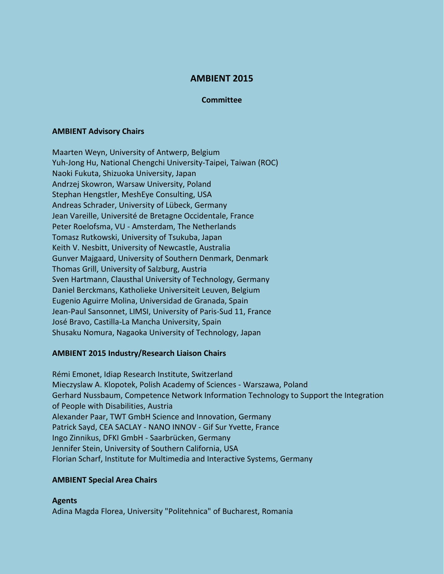# **AMBIENT 2015**

## **Committee**

## **AMBIENT Advisory Chairs**

Maarten Weyn, University of Antwerp, Belgium Yuh-Jong Hu, National Chengchi University-Taipei, Taiwan (ROC) Naoki Fukuta, Shizuoka University, Japan Andrzej Skowron, Warsaw University, Poland Stephan Hengstler, MeshEye Consulting, USA Andreas Schrader, University of Lübeck, Germany Jean Vareille, Université de Bretagne Occidentale, France Peter Roelofsma, VU - Amsterdam, The Netherlands Tomasz Rutkowski, University of Tsukuba, Japan Keith V. Nesbitt, University of Newcastle, Australia Gunver Majgaard, University of Southern Denmark, Denmark Thomas Grill, University of Salzburg, Austria Sven Hartmann, Clausthal University of Technology, Germany Daniel Berckmans, Katholieke Universiteit Leuven, Belgium Eugenio Aguirre Molina, Universidad de Granada, Spain Jean-Paul Sansonnet, LIMSI, University of Paris-Sud 11, France José Bravo, Castilla-La Mancha University, Spain Shusaku Nomura, Nagaoka University of Technology, Japan

## **AMBIENT 2015 Industry/Research Liaison Chairs**

Rémi Emonet, Idiap Research Institute, Switzerland Mieczyslaw A. Klopotek, Polish Academy of Sciences - Warszawa, Poland Gerhard Nussbaum, Competence Network Information Technology to Support the Integration of People with Disabilities, Austria Alexander Paar, TWT GmbH Science and Innovation, Germany Patrick Sayd, CEA SACLAY - NANO INNOV - Gif Sur Yvette, France Ingo Zinnikus, DFKI GmbH - Saarbrücken, Germany Jennifer Stein, University of Southern California, USA Florian Scharf, Institute for Multimedia and Interactive Systems, Germany

## **AMBIENT Special Area Chairs**

**Agents** Adina Magda Florea, University "Politehnica" of Bucharest, Romania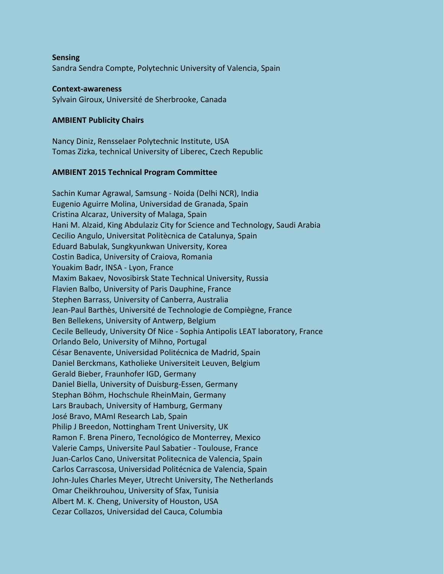**Sensing** Sandra Sendra Compte, Polytechnic University of Valencia, Spain

#### **Context-awareness**

Sylvain Giroux, Université de Sherbrooke, Canada

#### **AMBIENT Publicity Chairs**

Nancy Diniz, Rensselaer Polytechnic Institute, USA Tomas Zizka, technical University of Liberec, Czech Republic

#### **AMBIENT 2015 Technical Program Committee**

Sachin Kumar Agrawal, Samsung - Noida (Delhi NCR), India Eugenio Aguirre Molina, Universidad de Granada, Spain Cristina Alcaraz, University of Malaga, Spain Hani M. Alzaid, King Abdulaziz City for Science and Technology, Saudi Arabia Cecilio Angulo, Universitat Politècnica de Catalunya, Spain Eduard Babulak, Sungkyunkwan University, Korea Costin Badica, University of Craiova, Romania Youakim Badr, INSA - Lyon, France Maxim Bakaev, Novosibirsk State Technical University, Russia Flavien Balbo, University of Paris Dauphine, France Stephen Barrass, University of Canberra, Australia Jean-Paul Barthès, Université de Technologie de Compiègne, France Ben Bellekens, University of Antwerp, Belgium Cecile Belleudy, University Of Nice - Sophia Antipolis LEAT laboratory, France Orlando Belo, University of Mihno, Portugal César Benavente, Universidad Politécnica de Madrid, Spain Daniel Berckmans, Katholieke Universiteit Leuven, Belgium Gerald Bieber, Fraunhofer IGD, Germany Daniel Biella, University of Duisburg-Essen, Germany Stephan Böhm, Hochschule RheinMain, Germany Lars Braubach, University of Hamburg, Germany José Bravo, MAmI Research Lab, Spain Philip J Breedon, Nottingham Trent University, UK Ramon F. Brena Pinero, Tecnológico de Monterrey, Mexico Valerie Camps, Universite Paul Sabatier - Toulouse, France Juan-Carlos Cano, Universitat Politecnica de Valencia, Spain Carlos Carrascosa, Universidad Politécnica de Valencia, Spain John-Jules Charles Meyer, Utrecht University, The Netherlands Omar Cheikhrouhou, University of Sfax, Tunisia Albert M. K. Cheng, University of Houston, USA Cezar Collazos, Universidad del Cauca, Columbia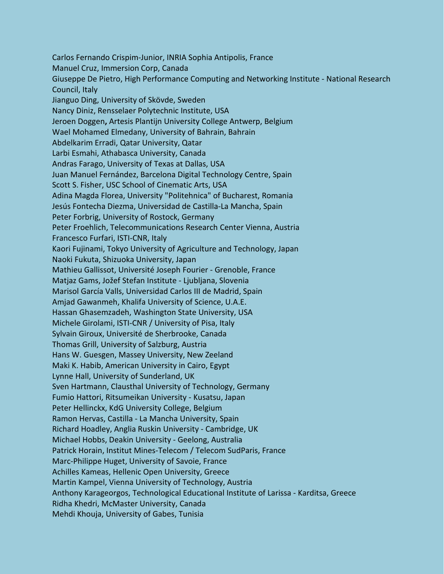Carlos Fernando Crispim-Junior, INRIA Sophia Antipolis, France Manuel Cruz, Immersion Corp, Canada Giuseppe De Pietro, High Performance Computing and Networking Institute - National Research Council, Italy Jianguo Ding, University of Skövde, Sweden Nancy Diniz, Rensselaer Polytechnic Institute, USA Jeroen Doggen**,** Artesis Plantijn University College Antwerp, Belgium Wael Mohamed Elmedany, University of Bahrain, Bahrain Abdelkarim Erradi, Qatar University, Qatar Larbi Esmahi, Athabasca University, Canada Andras Farago, University of Texas at Dallas, USA Juan Manuel Fernández, Barcelona Digital Technology Centre, Spain Scott S. Fisher, USC School of Cinematic Arts, USA Adina Magda Florea, University "Politehnica" of Bucharest, Romania Jesús Fontecha Diezma, Universidad de Castilla-La Mancha, Spain Peter Forbrig, University of Rostock, Germany Peter Froehlich, Telecommunications Research Center Vienna, Austria Francesco Furfari, ISTI-CNR, Italy Kaori Fujinami, Tokyo University of Agriculture and Technology, Japan Naoki Fukuta, Shizuoka University, Japan Mathieu Gallissot, Université Joseph Fourier - Grenoble, France Matjaz Gams, Jožef Stefan Institute - Ljubljana, Slovenia Marisol García Valls, Universidad Carlos III de Madrid, Spain Amjad Gawanmeh, Khalifa University of Science, U.A.E. Hassan Ghasemzadeh, Washington State University, USA Michele Girolami, ISTI-CNR / University of Pisa, Italy Sylvain Giroux, Université de Sherbrooke, Canada Thomas Grill, University of Salzburg, Austria Hans W. Guesgen, Massey University, New Zeeland Maki K. Habib, American University in Cairo, Egypt Lynne Hall, University of Sunderland, UK Sven Hartmann, Clausthal University of Technology, Germany Fumio Hattori, Ritsumeikan University - Kusatsu, Japan Peter Hellinckx, KdG University College, Belgium Ramon Hervas, Castilla - La Mancha University, Spain Richard Hoadley, Anglia Ruskin University - Cambridge, UK Michael Hobbs, Deakin University - Geelong, Australia Patrick Horain, Institut Mines-Telecom / Telecom SudParis, France Marc-Philippe Huget, University of Savoie, France Achilles Kameas, Hellenic Open University, Greece Martin Kampel, Vienna University of Technology, Austria Anthony Karageorgos, Technological Educational Institute of Larissa - Karditsa, Greece Ridha Khedri, McMaster University, Canada Mehdi Khouja, University of Gabes, Tunisia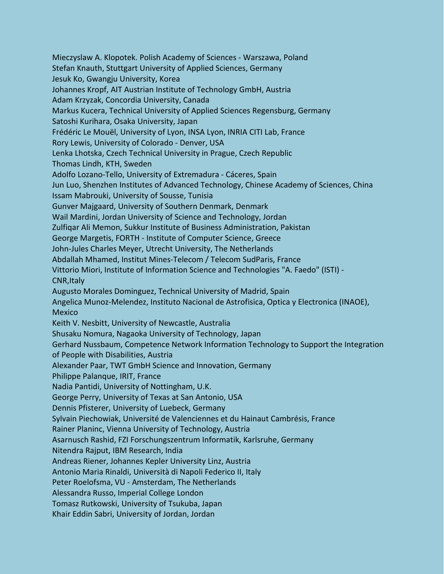Mieczyslaw A. Klopotek. Polish Academy of Sciences - Warszawa, Poland Stefan Knauth, Stuttgart University of Applied Sciences, Germany Jesuk Ko, Gwangju University, Korea Johannes Kropf, AIT Austrian Institute of Technology GmbH, Austria Adam Krzyzak, Concordia University, Canada Markus Kucera, Technical University of Applied Sciences Regensburg, Germany Satoshi Kurihara, Osaka University, Japan Frédéric Le Mouël, University of Lyon, INSA Lyon, INRIA CITI Lab, France Rory Lewis, University of Colorado - Denver, USA Lenka Lhotska, Czech Technical University in Prague, Czech Republic Thomas Lindh, KTH, Sweden Adolfo Lozano-Tello, University of Extremadura - Cáceres, Spain Jun Luo, Shenzhen Institutes of Advanced Technology, Chinese Academy of Sciences, China Issam Mabrouki, University of Sousse, Tunisia Gunver Majgaard, University of Southern Denmark, Denmark Wail Mardini, Jordan University of Science and Technology, Jordan Zulfiqar Ali Memon, Sukkur Institute of Business Administration, Pakistan George Margetis, FORTH - Institute of Computer Science, Greece John-Jules Charles Meyer, Utrecht University, The Netherlands Abdallah Mhamed, Institut Mines-Telecom / Telecom SudParis, France Vittorio Miori, Institute of Information Science and Technologies "A. Faedo" (ISTI) - CNR,Italy Augusto Morales Dominguez, Technical University of Madrid, Spain Angelica Munoz-Melendez, Instituto Nacional de Astrofisica, Optica y Electronica (INAOE), **Mexico** Keith V. Nesbitt, University of Newcastle, Australia Shusaku Nomura, Nagaoka University of Technology, Japan Gerhard Nussbaum, Competence Network Information Technology to Support the Integration of People with Disabilities, Austria Alexander Paar, TWT GmbH Science and Innovation, Germany Philippe Palanque, IRIT, France Nadia Pantidi, University of Nottingham, U.K. George Perry, University of Texas at San Antonio, USA Dennis Pfisterer, University of Luebeck, Germany Sylvain Piechowiak, Université de Valenciennes et du Hainaut Cambrésis, France Rainer Planinc, Vienna University of Technology, Austria Asarnusch Rashid, FZI Forschungszentrum Informatik, Karlsruhe, Germany Nitendra Rajput, IBM Research, India Andreas Riener, Johannes Kepler University Linz, Austria Antonio Maria Rinaldi, Università di Napoli Federico II, Italy Peter Roelofsma, VU - Amsterdam, The Netherlands Alessandra Russo, Imperial College London Tomasz Rutkowski, University of Tsukuba, Japan Khair Eddin Sabri, University of Jordan, Jordan